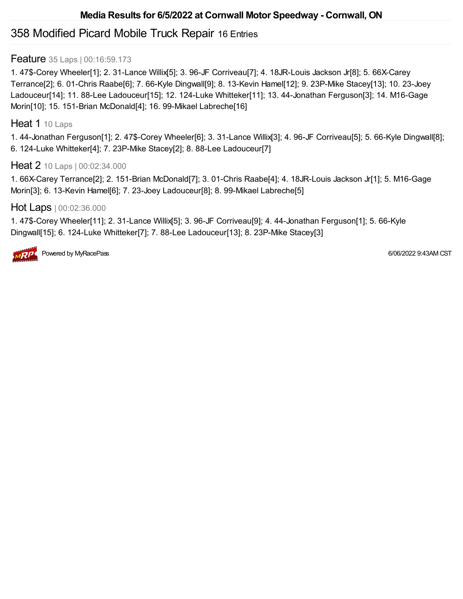# 358 Modified Picard Mobile Truck Repair 16 Entries

#### **Feature** 35 Laps | 00:16:59.173

1. 47\$-Corey Wheeler[1]; 2. 31-Lance Willix[5]; 3. 96-JF Corriveau[7]; 4. 18JR-Louis Jackson Jr[8]; 5. 66X-Carey Terrance[2]; 6. 01-Chris Raabe[6]; 7. 66-Kyle Dingwall[9]; 8. 13-Kevin Hamel[12]; 9. 23P-Mike Stacey[13]; 10. 23-Joey Ladouceur[14]; 11. 88-Lee Ladouceur[15]; 12. 124-Luke Whitteker[11]; 13. 44-Jonathan Ferguson[3]; 14. M16-Gage Morin[10]; 15. 151-Brian McDonald[4]; 16. 99-Mikael Labreche[16]

#### Heat 1 10 Laps

1. 44-Jonathan Ferguson[1]; 2. 47\$-Corey Wheeler[6]; 3. 31-Lance Willix[3]; 4. 96-JF Corriveau[5]; 5. 66-Kyle Dingwall[8]; 6. 124-Luke Whitteker[4]; 7. 23P-Mike Stacey[2]; 8. 88-Lee Ladouceur[7]

#### Heat 2 10 Laps | 00:02:34.000

1. 66X-Carey Terrance[2]; 2. 151-Brian McDonald[7]; 3. 01-Chris Raabe[4]; 4. 18JR-Louis Jackson Jr[1]; 5. M16-Gage Morin[3]; 6. 13-Kevin Hamel[6]; 7. 23-Joey Ladouceur[8]; 8. 99-Mikael Labreche[5]

#### Hot Laps | 00:02:36.000

1. 47\$-Corey Wheeler[11]; 2. 31-Lance Willix[5]; 3. 96-JF Corriveau[9]; 4. 44-Jonathan Ferguson[1]; 5. 66-Kyle Dingwall[15]; 6. 124-Luke Whitteker[7]; 7. 88-Lee Ladouceur[13]; 8. 23P-Mike Stacey[3]



Powered by MyRacePass 6/06/2022 9:43AM CST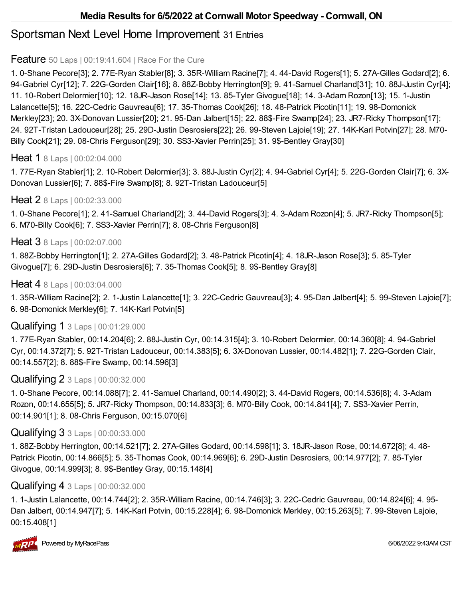# Sportsman Next Level Home Improvement 31 Entries

#### **Feature** 50 Laps | 00:19:41.604 | Race For the Cure

1. 0-Shane Pecore[3]; 2. 77E-Ryan Stabler[8]; 3. 35R-William Racine[7]; 4. 44-David Rogers[1]; 5. 27A-Gilles Godard[2]; 6. 94-Gabriel Cyr[12]; 7. 22G-Gorden Clair[16]; 8. 88Z-Bobby Herrington[9]; 9. 41-Samuel Charland[31]; 10. 88J-Justin Cyr[4]; 11. 10-Robert Delormier[10]; 12. 18JR-Jason Rose[14]; 13. 85-Tyler Givogue[18]; 14. 3-Adam Rozon[13]; 15. 1-Justin Lalancette[5]; 16. 22C-Cedric Gauvreau[6]; 17. 35-Thomas Cook[26]; 18. 48-Patrick Picotin[11]; 19. 98-Domonick Merkley[23]; 20. 3X-Donovan Lussier[20]; 21. 95-Dan Jalbert[15]; 22. 88\$-Fire Swamp[24]; 23. JR7-Ricky Thompson[17]; 24. 92T-Tristan Ladouceur[28]; 25. 29D-Justin Desrosiers[22]; 26. 99-Steven Lajoie[19]; 27. 14K-Karl Potvin[27]; 28. M70- Billy Cook[21]; 29. 08-Chris Ferguson[29]; 30. SS3-Xavier Perrin[25]; 31. 9\$-Bentley Gray[30]

### Heat 1 8 Laps | 00:02:04.000

1. 77E-Ryan Stabler[1]; 2. 10-Robert Delormier[3]; 3. 88J-Justin Cyr[2]; 4. 94-Gabriel Cyr[4]; 5. 22G-Gorden Clair[7]; 6. 3X-Donovan Lussier[6]; 7. 88\$-Fire Swamp[8]; 8. 92T-Tristan Ladouceur[5]

### Heat 2 8 Laps | 00:02:33.000

1. 0-Shane Pecore[1]; 2. 41-Samuel Charland[2]; 3. 44-David Rogers[3]; 4. 3-Adam Rozon[4]; 5. JR7-Ricky Thompson[5]; 6. M70-Billy Cook[6]; 7. SS3-Xavier Perrin[7]; 8. 08-Chris Ferguson[8]

### Heat 3 8 Laps | 00:02:07.000

1. 88Z-Bobby Herrington[1]; 2. 27A-Gilles Godard[2]; 3. 48-Patrick Picotin[4]; 4. 18JR-Jason Rose[3]; 5. 85-Tyler Givogue[7]; 6. 29D-Justin Desrosiers[6]; 7. 35-Thomas Cook[5]; 8. 9\$-Bentley Gray[8]

#### Heat 4 8 Laps | 00:03:04.000

1. 35R-William Racine[2]; 2. 1-Justin Lalancette[1]; 3. 22C-Cedric Gauvreau[3]; 4. 95-Dan Jalbert[4]; 5. 99-Steven Lajoie[7]; 6. 98-Domonick Merkley[6]; 7. 14K-Karl Potvin[5]

### Qualifying 1 3 Laps | 00:01:29.000

1. 77E-Ryan Stabler, 00:14.204[6]; 2. 88J-Justin Cyr, 00:14.315[4]; 3. 10-Robert Delormier, 00:14.360[8]; 4. 94-Gabriel Cyr, 00:14.372[7]; 5. 92T-Tristan Ladouceur, 00:14.383[5]; 6. 3X-Donovan Lussier, 00:14.482[1]; 7. 22G-Gorden Clair, 00:14.557[2]; 8. 88\$-Fire Swamp, 00:14.596[3]

### Qualifying 2 3 Laps | 00:00:32.000

1. 0-Shane Pecore, 00:14.088[7]; 2. 41-Samuel Charland, 00:14.490[2]; 3. 44-David Rogers, 00:14.536[8]; 4. 3-Adam Rozon, 00:14.655[5]; 5. JR7-Ricky Thompson, 00:14.833[3]; 6. M70-Billy Cook, 00:14.841[4]; 7. SS3-Xavier Perrin, 00:14.901[1]; 8. 08-Chris Ferguson, 00:15.070[6]

### Qualifying 3 3 Laps | 00:00:33.000

1. 88Z-Bobby Herrington, 00:14.521[7]; 2. 27A-Gilles Godard, 00:14.598[1]; 3. 18JR-Jason Rose, 00:14.672[8]; 4. 48- Patrick Picotin, 00:14.866[5]; 5. 35-Thomas Cook, 00:14.969[6]; 6. 29D-Justin Desrosiers, 00:14.977[2]; 7. 85-Tyler Givogue, 00:14.999[3]; 8. 9\$-Bentley Gray, 00:15.148[4]

### Qualifying 4 3 Laps | 00:00:32.000

1. 1-Justin Lalancette, 00:14.744[2]; 2. 35R-William Racine, 00:14.746[3]; 3. 22C-Cedric Gauvreau, 00:14.824[6]; 4. 95- Dan Jalbert, 00:14.947[7]; 5. 14K-Karl Potvin, 00:15.228[4]; 6. 98-Domonick Merkley, 00:15.263[5]; 7. 99-Steven Lajoie, 00:15.408[1]

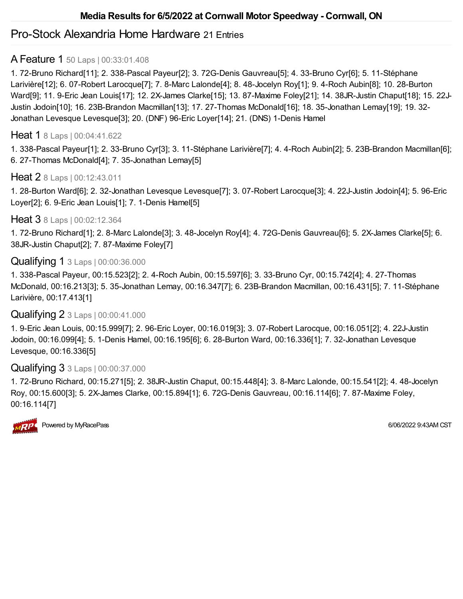# Pro-Stock Alexandria Home Hardware 21 Entries

# A Feature 1 50 Laps | 00:33:01.408

1. 72-Bruno Richard[11]; 2. 338-Pascal Payeur[2]; 3. 72G-Denis Gauvreau[5]; 4. 33-Bruno Cyr[6]; 5. 11-Stéphane Larivière[12]; 6. 07-Robert Larocque[7]; 7. 8-Marc Lalonde[4]; 8. 48-Jocelyn Roy[1]; 9. 4-Roch Aubin[8]; 10. 28-Burton Ward[9]; 11. 9-Eric Jean Louis[17]; 12. 2X-James Clarke[15]; 13. 87-Maxime Foley[21]; 14. 38JR-Justin Chaput[18]; 15. 22J-Justin Jodoin[10]; 16. 23B-Brandon Macmillan[13]; 17. 27-Thomas McDonald[16]; 18. 35-Jonathan Lemay[19]; 19. 32- Jonathan Levesque Levesque[3]; 20. (DNF) 96-Eric Loyer[14]; 21. (DNS) 1-Denis Hamel

## Heat 1 8 Laps | 00:04:41.622

1. 338-Pascal Payeur[1]; 2. 33-Bruno Cyr[3]; 3. 11-Stéphane Larivière[7]; 4. 4-Roch Aubin[2]; 5. 23B-Brandon Macmillan[6]; 6. 27-Thomas McDonald[4]; 7. 35-Jonathan Lemay[5]

# Heat 2 8 Laps | 00:12:43.011

1. 28-Burton Ward[6]; 2. 32-Jonathan Levesque Levesque[7]; 3. 07-Robert Larocque[3]; 4. 22J-Justin Jodoin[4]; 5. 96-Eric Loyer[2]; 6. 9-Eric Jean Louis[1]; 7. 1-Denis Hamel[5]

# Heat 3 8 Laps | 00:02:12.364

1. 72-Bruno Richard[1]; 2. 8-Marc Lalonde[3]; 3. 48-Jocelyn Roy[4]; 4. 72G-Denis Gauvreau[6]; 5. 2X-James Clarke[5]; 6. 38JR-Justin Chaput[2]; 7. 87-Maxime Foley[7]

# Qualifying 1 3 Laps | 00:00:36.000

1. 338-Pascal Payeur, 00:15.523[2]; 2. 4-Roch Aubin, 00:15.597[6]; 3. 33-Bruno Cyr, 00:15.742[4]; 4. 27-Thomas McDonald, 00:16.213[3]; 5. 35-Jonathan Lemay, 00:16.347[7]; 6. 23B-Brandon Macmillan, 00:16.431[5]; 7. 11-Stéphane Larivière, 00:17.413[1]

# Qualifying 2 3 Laps | 00:00:41.000

1. 9-Eric Jean Louis, 00:15.999[7]; 2. 96-Eric Loyer, 00:16.019[3]; 3. 07-Robert Larocque, 00:16.051[2]; 4. 22J-Justin Jodoin, 00:16.099[4]; 5. 1-Denis Hamel, 00:16.195[6]; 6. 28-Burton Ward, 00:16.336[1]; 7. 32-Jonathan Levesque Levesque, 00:16.336[5]

# Qualifying 3 3 Laps | 00:00:37.000

1. 72-Bruno Richard, 00:15.271[5]; 2. 38JR-Justin Chaput, 00:15.448[4]; 3. 8-Marc Lalonde, 00:15.541[2]; 4. 48-Jocelyn Roy, 00:15.600[3]; 5. 2X-James Clarke, 00:15.894[1]; 6. 72G-Denis Gauvreau, 00:16.114[6]; 7. 87-Maxime Foley, 00:16.114[7]

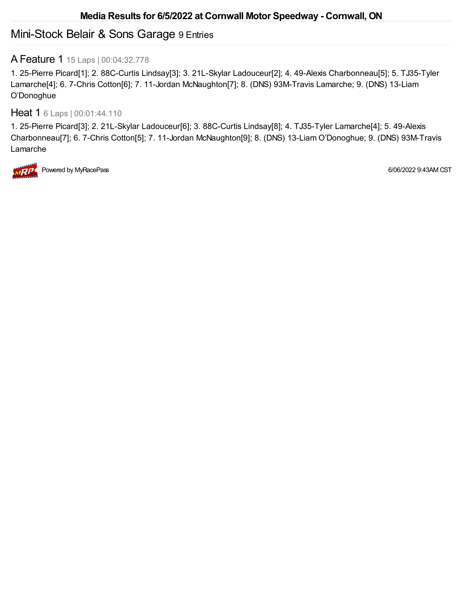# Mini-Stock Belair & Sons Garage 9 Entries

# A Feature 1 15 Laps | 00:04:32.778

1. 25-Pierre Picard[1]; 2. 88C-Curtis Lindsay[3]; 3. 21L-Skylar Ladouceur[2]; 4. 49-Alexis Charbonneau[5]; 5. TJ35-Tyler Lamarche[4]; 6. 7-Chris Cotton[6]; 7. 11-Jordan McNaughton[7]; 8. (DNS) 93M-Travis Lamarche; 9. (DNS) 13-Liam O'Donoghue

### Heat 1 6 Laps | 00:01:44.110

1. 25-Pierre Picard[3]; 2. 21L-Skylar Ladouceur[6]; 3. 88C-Curtis Lindsay[8]; 4. TJ35-Tyler Lamarche[4]; 5. 49-Alexis Charbonneau[7]; 6. 7-Chris Cotton[5]; 7. 11-Jordan McNaughton[9]; 8. (DNS) 13-Liam O'Donoghue; 9. (DNS) 93M-Travis Lamarche



Powered by MyRacePass 6/06/2022 9:43AM CST